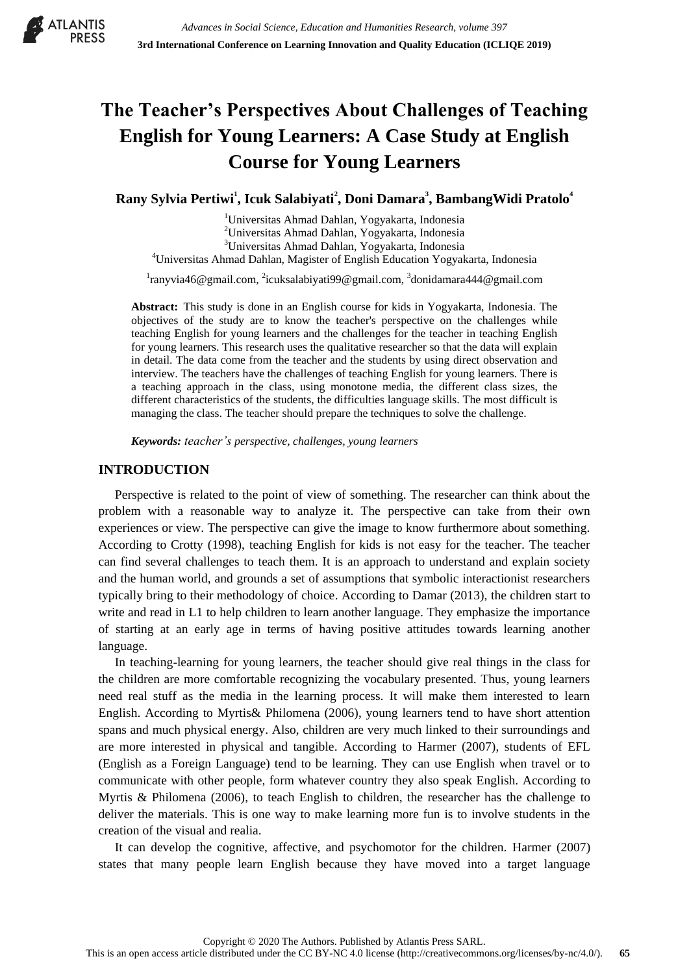

# **The Teacher's Perspectives About Challenges of Teaching English for Young Learners: A Case Study at English Course for Young Learners**

**Rany Sylvia Pertiwi<sup>1</sup> , Icuk Salabiyati<sup>2</sup> , Doni Damara<sup>3</sup> , BambangWidi Pratolo<sup>4</sup>**

<sup>1</sup>Universitas Ahmad Dahlan, Yogyakarta, Indonesia <sup>2</sup>Universitas Ahmad Dahlan, Yogyakarta, Indonesia <sup>3</sup>Universitas Ahmad Dahlan, Yogyakarta, Indonesia

<sup>4</sup>Universitas Ahmad Dahlan, Magister of English Education Yogyakarta, Indonesia

<sup>1</sup>[ranyvia46@gmail.com,](mailto:ranyvia46@gmail.com) <sup>2</sup>[icuksalabiyati99@gmail.com,](mailto:icuksalabiyati99@gmail.com) <sup>3</sup>[donidamara444@gmail.com](mailto:donidamara444@gmail.com)

**Abstract:** This study is done in an English course for kids in Yogyakarta, Indonesia. The objectives of the study are to know the teacher's perspective on the challenges while teaching English for young learners and the challenges for the teacher in teaching English for young learners. This research uses the qualitative researcher so that the data will explain in detail. The data come from the teacher and the students by using direct observation and interview. The teachers have the challenges of teaching English for young learners. There is a teaching approach in the class, using monotone media, the different class sizes, the different characteristics of the students, the difficulties language skills. The most difficult is managing the class. The teacher should prepare the techniques to solve the challenge.

*Keywords: teacher's perspective, challenges, young learners*

# **INTRODUCTION**

Perspective is related to the point of view of something. The researcher can think about the problem with a reasonable way to analyze it. The perspective can take from their own experiences or view. The perspective can give the image to know furthermore about something. According to Crotty (1998), teaching English for kids is not easy for the teacher. The teacher can find several challenges to teach them. It is an approach to understand and explain society and the human world, and grounds a set of assumptions that symbolic interactionist researchers typically bring to their methodology of choice. According to Damar (2013), the children start to write and read in L1 to help children to learn another language. They emphasize the importance of starting at an early age in terms of having positive attitudes towards learning another language.

In teaching-learning for young learners, the teacher should give real things in the class for the children are more comfortable recognizing the vocabulary presented. Thus, young learners need real stuff as the media in the learning process. It will make them interested to learn English. According to Myrtis& Philomena (2006), young learners tend to have short attention spans and much physical energy. Also, children are very much linked to their surroundings and are more interested in physical and tangible. According to Harmer (2007), students of EFL (English as a Foreign Language) tend to be learning. They can use English when travel or to communicate with other people, form whatever country they also speak English. According to Myrtis & Philomena (2006), to teach English to children, the researcher has the challenge to deliver the materials. This is one way to make learning more fun is to involve students in the creation of the visual and realia.

It can develop the cognitive, affective, and psychomotor for the children. Harmer (2007) states that many people learn English because they have moved into a target language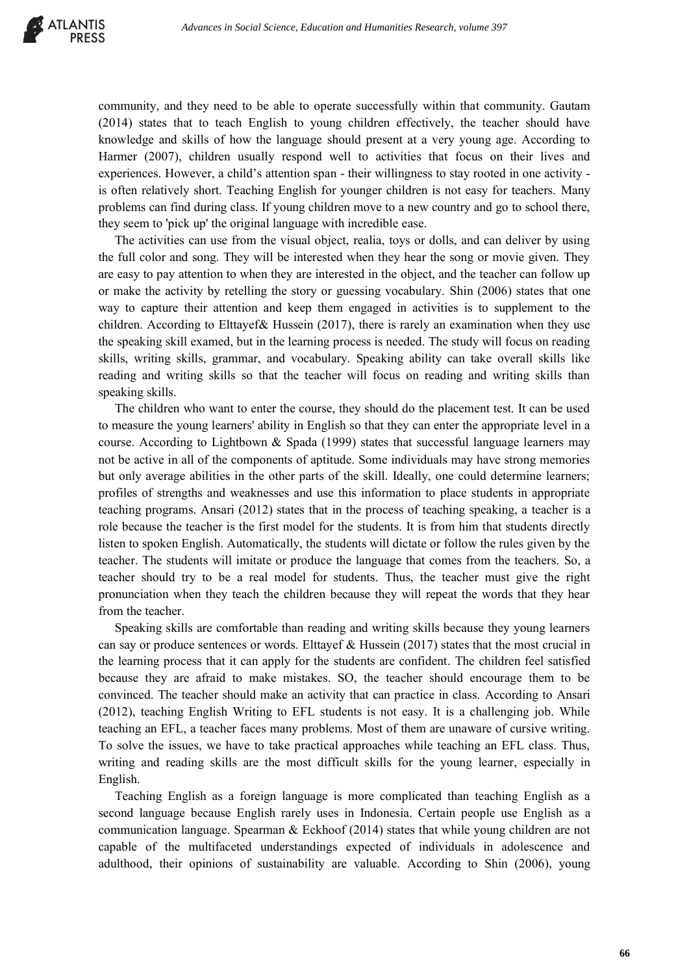

community, and they need to be able to operate successfully within that community. Gautam (2014) states that to teach English to young children effectively, the teacher should have knowledge and skills of how the language should present at a very young age. According to Harmer (2007), children usually respond well to activities that focus on their lives and experiences. However, a child's attention span - their willingness to stay rooted in one activity is often relatively short. Teaching English for younger children is not easy for teachers. Many problems can find during class. If young children move to a new country and go to school there, they seem to 'pick up' the original language with incredible ease.

The activities can use from the visual object, realia, toys or dolls, and can deliver by using the full color and song. They will be interested when they hear the song or movie given. They are easy to pay attention to when they are interested in the object, and the teacher can follow up or make the activity by retelling the story or guessing vocabulary. Shin (2006) states that one way to capture their attention and keep them engaged in activities is to supplement to the children. According to Elttayef& Hussein (2017), there is rarely an examination when they use the speaking skill examed, but in the learning process is needed. The study will focus on reading skills, writing skills, grammar, and vocabulary. Speaking ability can take overall skills like reading and writing skills so that the teacher will focus on reading and writing skills than speaking skills.

The children who want to enter the course, they should do the placement test. It can be used to measure the young learners' ability in English so that they can enter the appropriate level in a course. According to Lightbown & Spada (1999) states that successful language learners may not be active in all of the components of aptitude. Some individuals may have strong memories but only average abilities in the other parts of the skill. Ideally, one could determine learners; profiles of strengths and weaknesses and use this information to place students in appropriate teaching programs. Ansari (2012) states that in the process of teaching speaking, a teacher is a role because the teacher is the first model for the students. It is from him that students directly listen to spoken English. Automatically, the students will dictate or follow the rules given by the teacher. The students will imitate or produce the language that comes from the teachers. So, a teacher should try to be a real model for students. Thus, the teacher must give the right pronunciation when they teach the children because they will repeat the words that they hear from the teacher.

Speaking skills are comfortable than reading and writing skills because they young learners can say or produce sentences or words. Elttayef  $\&$  Hussein (2017) states that the most crucial in the learning process that it can apply for the students are confident. The children feel satisfied because they are afraid to make mistakes. SO, the teacher should encourage them to be convinced. The teacher should make an activity that can practice in class. According to Ansari (2012), teaching English Writing to EFL students is not easy. It is a challenging job. While teaching an EFL, a teacher faces many problems. Most of them are unaware of cursive writing. To solve the issues, we have to take practical approaches while teaching an EFL class. Thus, writing and reading skills are the most difficult skills for the young learner, especially in English.

Teaching English as a foreign language is more complicated than teaching English as a second language because English rarely uses in Indonesia. Certain people use English as a communication language. Spearman & Eckhoof (2014) states that while young children are not capable of the multifaceted understandings expected of individuals in adolescence and adulthood, their opinions of sustainability are valuable. According to Shin (2006), young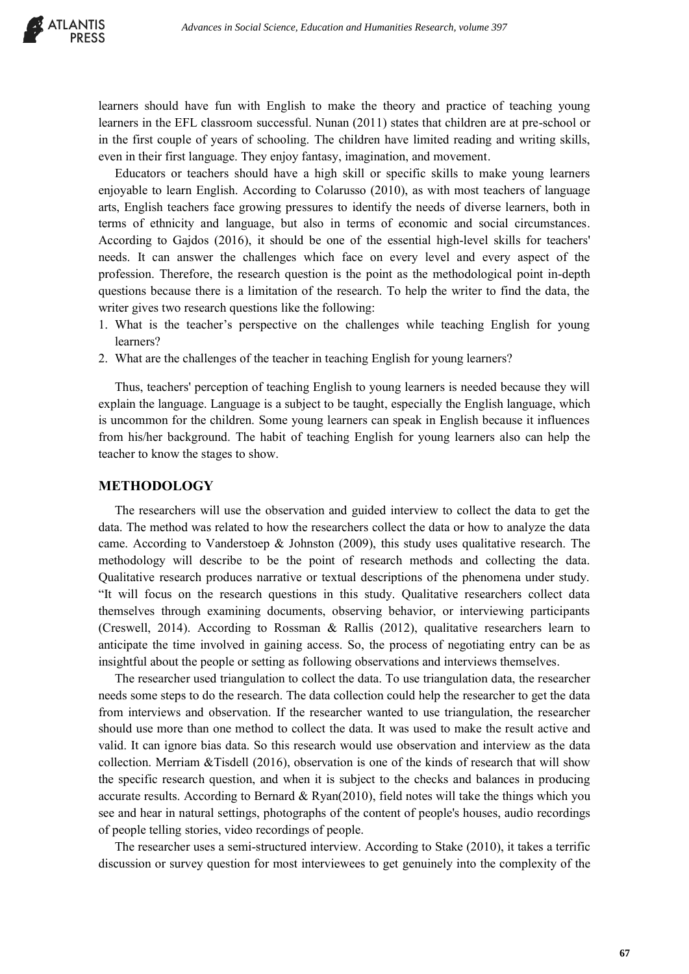

learners should have fun with English to make the theory and practice of teaching young learners in the EFL classroom successful. Nunan (2011) states that children are at pre-school or in the first couple of years of schooling. The children have limited reading and writing skills, even in their first language. They enjoy fantasy, imagination, and movement.

Educators or teachers should have a high skill or specific skills to make young learners enjoyable to learn English. According to Colarusso (2010), as with most teachers of language arts, English teachers face growing pressures to identify the needs of diverse learners, both in terms of ethnicity and language, but also in terms of economic and social circumstances. According to Gajdos (2016), it should be one of the essential high-level skills for teachers' needs. It can answer the challenges which face on every level and every aspect of the profession. Therefore, the research question is the point as the methodological point in-depth questions because there is a limitation of the research. To help the writer to find the data, the writer gives two research questions like the following:

- 1. What is the teacher's perspective on the challenges while teaching English for young learners?
- 2. What are the challenges of the teacher in teaching English for young learners?

Thus, teachers' perception of teaching English to young learners is needed because they will explain the language. Language is a subject to be taught, especially the English language, which is uncommon for the children. Some young learners can speak in English because it influences from his/her background. The habit of teaching English for young learners also can help the teacher to know the stages to show.

# **METHODOLOGY**

The researchers will use the observation and guided interview to collect the data to get the data. The method was related to how the researchers collect the data or how to analyze the data came. According to Vanderstoep  $\&$  Johnston (2009), this study uses qualitative research. The methodology will describe to be the point of research methods and collecting the data. Qualitative research produces narrative or textual descriptions of the phenomena under study. "It will focus on the research questions in this study. Qualitative researchers collect data themselves through examining documents, observing behavior, or interviewing participants (Creswell, 2014). According to Rossman & Rallis (2012), qualitative researchers learn to anticipate the time involved in gaining access. So, the process of negotiating entry can be as insightful about the people or setting as following observations and interviews themselves.

The researcher used triangulation to collect the data. To use triangulation data, the researcher needs some steps to do the research. The data collection could help the researcher to get the data from interviews and observation. If the researcher wanted to use triangulation, the researcher should use more than one method to collect the data. It was used to make the result active and valid. It can ignore bias data. So this research would use observation and interview as the data collection. Merriam &Tisdell (2016), observation is one of the kinds of research that will show the specific research question, and when it is subject to the checks and balances in producing accurate results. According to Bernard & Ryan(2010), field notes will take the things which you see and hear in natural settings, photographs of the content of people's houses, audio recordings of people telling stories, video recordings of people.

The researcher uses a semi-structured interview. According to Stake (2010), it takes a terrific discussion or survey question for most interviewees to get genuinely into the complexity of the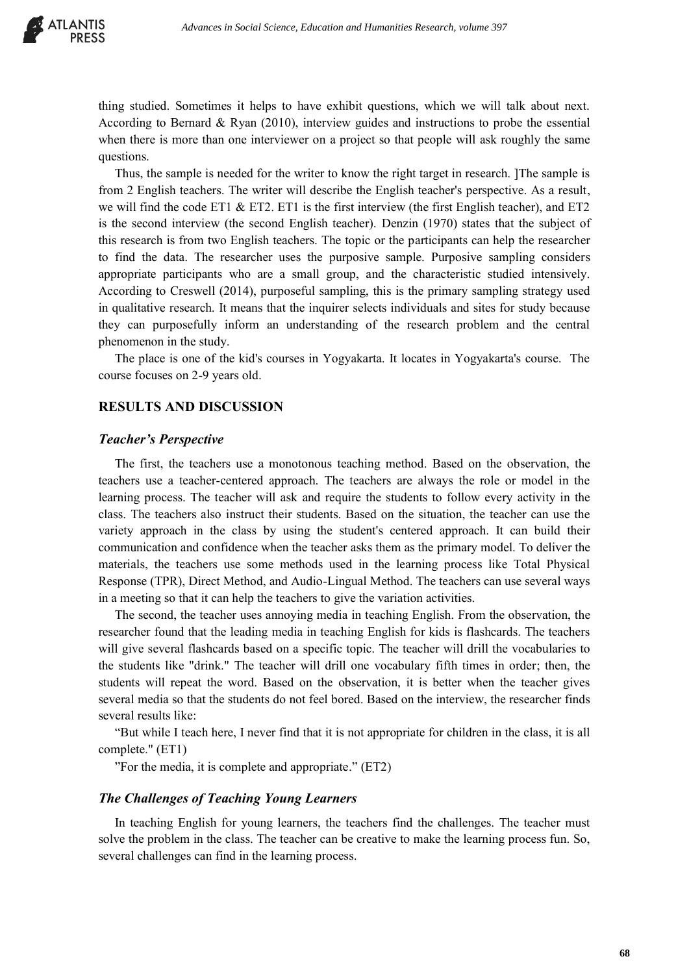

thing studied. Sometimes it helps to have exhibit questions, which we will talk about next. According to Bernard & Ryan (2010), interview guides and instructions to probe the essential when there is more than one interviewer on a project so that people will ask roughly the same questions.

Thus, the sample is needed for the writer to know the right target in research. ]The sample is from 2 English teachers. The writer will describe the English teacher's perspective. As a result, we will find the code ET1  $\&$  ET2. ET1 is the first interview (the first English teacher), and ET2 is the second interview (the second English teacher). Denzin (1970) states that the subject of this research is from two English teachers. The topic or the participants can help the researcher to find the data. The researcher uses the purposive sample. Purposive sampling considers appropriate participants who are a small group, and the characteristic studied intensively. According to Creswell (2014), purposeful sampling, this is the primary sampling strategy used in qualitative research. It means that the inquirer selects individuals and sites for study because they can purposefully inform an understanding of the research problem and the central phenomenon in the study.

The place is one of the kid's courses in Yogyakarta. It locates in Yogyakarta's course. The course focuses on 2-9 years old.

## **RESULTS AND DISCUSSION**

### *Teacher's Perspective*

The first, the teachers use a monotonous teaching method. Based on the observation, the teachers use a teacher-centered approach. The teachers are always the role or model in the learning process. The teacher will ask and require the students to follow every activity in the class. The teachers also instruct their students. Based on the situation, the teacher can use the variety approach in the class by using the student's centered approach. It can build their communication and confidence when the teacher asks them as the primary model. To deliver the materials, the teachers use some methods used in the learning process like Total Physical Response (TPR), Direct Method, and Audio-Lingual Method. The teachers can use several ways in a meeting so that it can help the teachers to give the variation activities.

The second, the teacher uses annoying media in teaching English. From the observation, the researcher found that the leading media in teaching English for kids is flashcards. The teachers will give several flashcards based on a specific topic. The teacher will drill the vocabularies to the students like "drink." The teacher will drill one vocabulary fifth times in order; then, the students will repeat the word. Based on the observation, it is better when the teacher gives several media so that the students do not feel bored. Based on the interview, the researcher finds several results like:

"But while I teach here, I never find that it is not appropriate for children in the class, it is all complete." (ET1)

"For the media, it is complete and appropriate." (ET2)

### *The Challenges of Teaching Young Learners*

In teaching English for young learners, the teachers find the challenges. The teacher must solve the problem in the class. The teacher can be creative to make the learning process fun. So, several challenges can find in the learning process.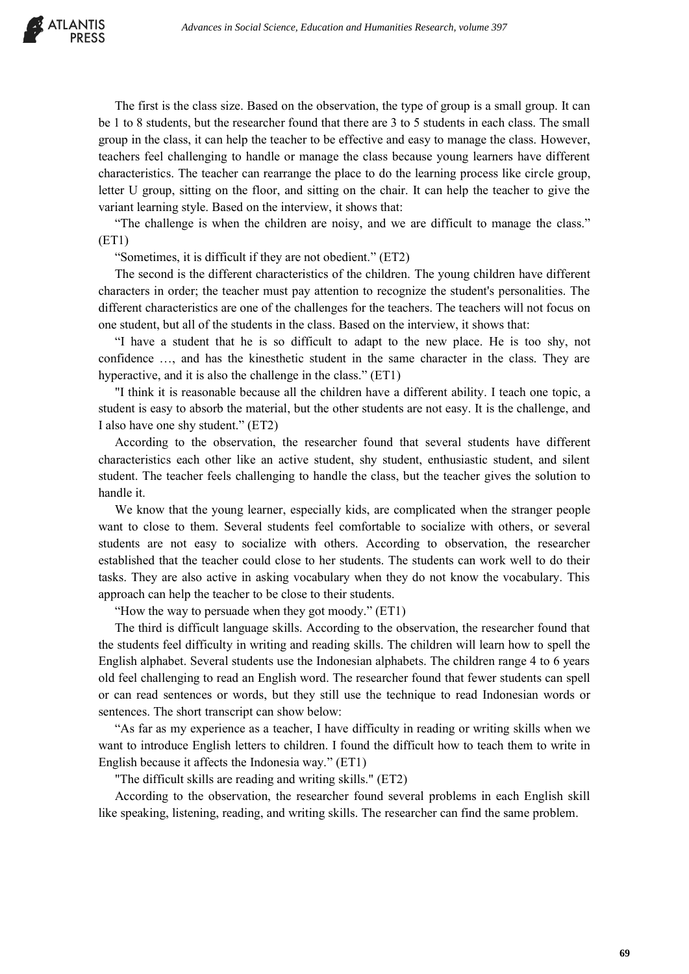

The first is the class size. Based on the observation, the type of group is a small group. It can be 1 to 8 students, but the researcher found that there are 3 to 5 students in each class. The small group in the class, it can help the teacher to be effective and easy to manage the class. However, teachers feel challenging to handle or manage the class because young learners have different characteristics. The teacher can rearrange the place to do the learning process like circle group, letter U group, sitting on the floor, and sitting on the chair. It can help the teacher to give the variant learning style. Based on the interview, it shows that:

"The challenge is when the children are noisy, and we are difficult to manage the class." (ET1)

"Sometimes, it is difficult if they are not obedient." (ET2)

The second is the different characteristics of the children. The young children have different characters in order; the teacher must pay attention to recognize the student's personalities. The different characteristics are one of the challenges for the teachers. The teachers will not focus on one student, but all of the students in the class. Based on the interview, it shows that:

"I have a student that he is so difficult to adapt to the new place. He is too shy, not confidence …, and has the kinesthetic student in the same character in the class. They are hyperactive, and it is also the challenge in the class." (ET1)

"I think it is reasonable because all the children have a different ability. I teach one topic, a student is easy to absorb the material, but the other students are not easy. It is the challenge, and I also have one shy student." (ET2)

According to the observation, the researcher found that several students have different characteristics each other like an active student, shy student, enthusiastic student, and silent student. The teacher feels challenging to handle the class, but the teacher gives the solution to handle it.

We know that the young learner, especially kids, are complicated when the stranger people want to close to them. Several students feel comfortable to socialize with others, or several students are not easy to socialize with others. According to observation, the researcher established that the teacher could close to her students. The students can work well to do their tasks. They are also active in asking vocabulary when they do not know the vocabulary. This approach can help the teacher to be close to their students.

"How the way to persuade when they got moody." (ET1)

The third is difficult language skills. According to the observation, the researcher found that the students feel difficulty in writing and reading skills. The children will learn how to spell the English alphabet. Several students use the Indonesian alphabets. The children range 4 to 6 years old feel challenging to read an English word. The researcher found that fewer students can spell or can read sentences or words, but they still use the technique to read Indonesian words or sentences. The short transcript can show below:

"As far as my experience as a teacher, I have difficulty in reading or writing skills when we want to introduce English letters to children. I found the difficult how to teach them to write in English because it affects the Indonesia way." (ET1)

"The difficult skills are reading and writing skills." (ET2)

According to the observation, the researcher found several problems in each English skill like speaking, listening, reading, and writing skills. The researcher can find the same problem.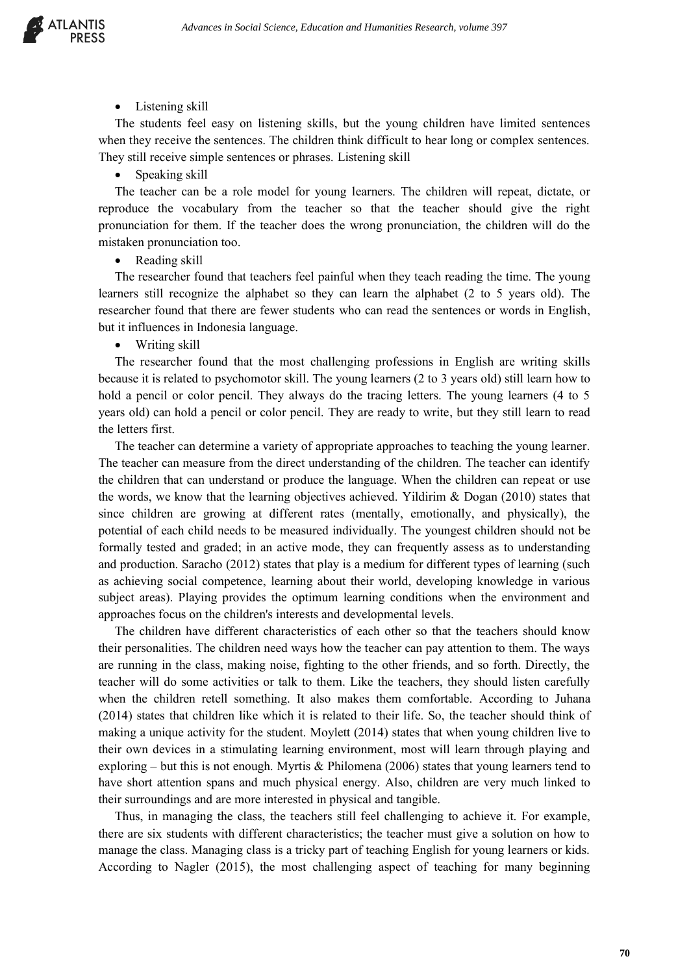

Listening skill

The students feel easy on listening skills, but the young children have limited sentences when they receive the sentences. The children think difficult to hear long or complex sentences. They still receive simple sentences or phrases. Listening skill

## • Speaking skill

The teacher can be a role model for young learners. The children will repeat, dictate, or reproduce the vocabulary from the teacher so that the teacher should give the right pronunciation for them. If the teacher does the wrong pronunciation, the children will do the mistaken pronunciation too.

• Reading skill

The researcher found that teachers feel painful when they teach reading the time. The young learners still recognize the alphabet so they can learn the alphabet (2 to 5 years old). The researcher found that there are fewer students who can read the sentences or words in English, but it influences in Indonesia language.

• Writing skill

The researcher found that the most challenging professions in English are writing skills because it is related to psychomotor skill. The young learners (2 to 3 years old) still learn how to hold a pencil or color pencil. They always do the tracing letters. The young learners (4 to 5 years old) can hold a pencil or color pencil. They are ready to write, but they still learn to read the letters first.

The teacher can determine a variety of appropriate approaches to teaching the young learner. The teacher can measure from the direct understanding of the children. The teacher can identify the children that can understand or produce the language. When the children can repeat or use the words, we know that the learning objectives achieved. Yildirim  $\&$  Dogan (2010) states that since children are growing at different rates (mentally, emotionally, and physically), the potential of each child needs to be measured individually. The youngest children should not be formally tested and graded; in an active mode, they can frequently assess as to understanding and production. Saracho (2012) states that play is a medium for different types of learning (such as achieving social competence, learning about their world, developing knowledge in various subject areas). Playing provides the optimum learning conditions when the environment and approaches focus on the children's interests and developmental levels.

The children have different characteristics of each other so that the teachers should know their personalities. The children need ways how the teacher can pay attention to them. The ways are running in the class, making noise, fighting to the other friends, and so forth. Directly, the teacher will do some activities or talk to them. Like the teachers, they should listen carefully when the children retell something. It also makes them comfortable. According to Juhana (2014) states that children like which it is related to their life. So, the teacher should think of making a unique activity for the student. Moylett (2014) states that when young children live to their own devices in a stimulating learning environment, most will learn through playing and exploring – but this is not enough. Myrtis & Philomena (2006) states that young learners tend to have short attention spans and much physical energy. Also, children are very much linked to their surroundings and are more interested in physical and tangible.

Thus, in managing the class, the teachers still feel challenging to achieve it. For example, there are six students with different characteristics; the teacher must give a solution on how to manage the class. Managing class is a tricky part of teaching English for young learners or kids. According to Nagler (2015), the most challenging aspect of teaching for many beginning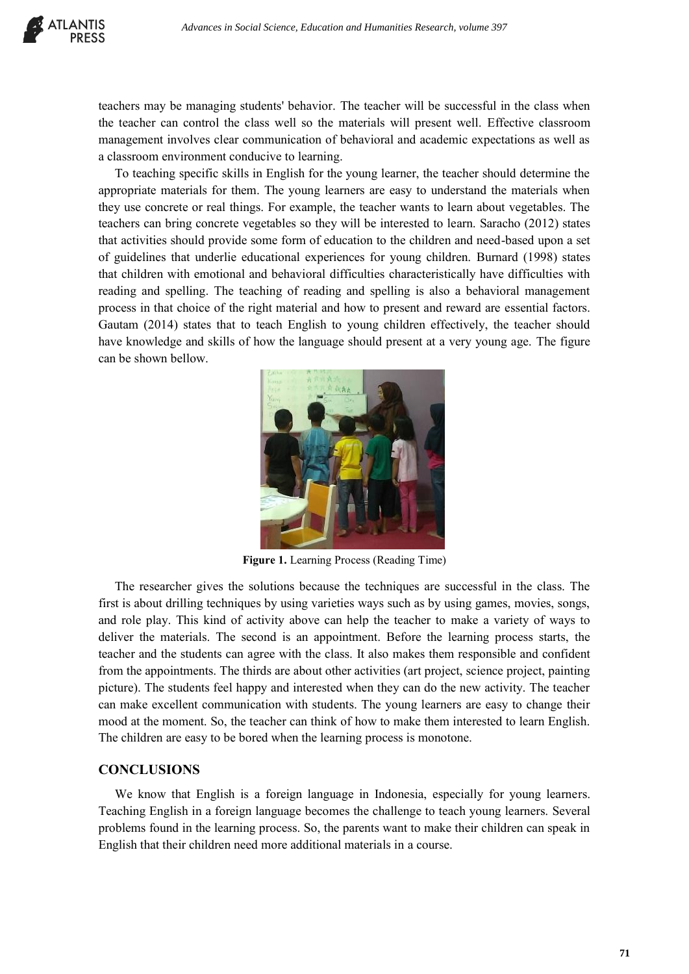teachers may be managing students' behavior. The teacher will be successful in the class when the teacher can control the class well so the materials will present well. Effective classroom management involves clear communication of behavioral and academic expectations as well as a classroom environment conducive to learning.

To teaching specific skills in English for the young learner, the teacher should determine the appropriate materials for them. The young learners are easy to understand the materials when they use concrete or real things. For example, the teacher wants to learn about vegetables. The teachers can bring concrete vegetables so they will be interested to learn. Saracho (2012) states that activities should provide some form of education to the children and need-based upon a set of guidelines that underlie educational experiences for young children. Burnard (1998) states that children with emotional and behavioral difficulties characteristically have difficulties with reading and spelling. The teaching of reading and spelling is also a behavioral management process in that choice of the right material and how to present and reward are essential factors. Gautam (2014) states that to teach English to young children effectively, the teacher should have knowledge and skills of how the language should present at a very young age. The figure can be shown bellow.



**Figure 1.** Learning Process (Reading Time)

The researcher gives the solutions because the techniques are successful in the class. The first is about drilling techniques by using varieties ways such as by using games, movies, songs, and role play. This kind of activity above can help the teacher to make a variety of ways to deliver the materials. The second is an appointment. Before the learning process starts, the teacher and the students can agree with the class. It also makes them responsible and confident from the appointments. The thirds are about other activities (art project, science project, painting picture). The students feel happy and interested when they can do the new activity. The teacher can make excellent communication with students. The young learners are easy to change their mood at the moment. So, the teacher can think of how to make them interested to learn English. The children are easy to be bored when the learning process is monotone.

## **CONCLUSIONS**

We know that English is a foreign language in Indonesia, especially for young learners. Teaching English in a foreign language becomes the challenge to teach young learners. Several problems found in the learning process. So, the parents want to make their children can speak in English that their children need more additional materials in a course.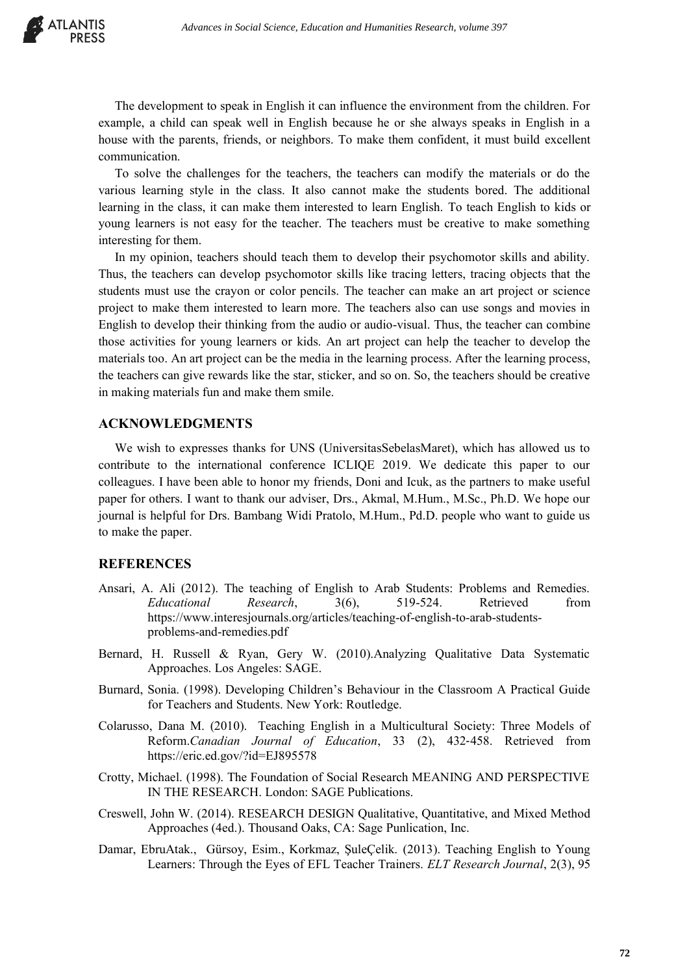The development to speak in English it can influence the environment from the children. For example, a child can speak well in English because he or she always speaks in English in a house with the parents, friends, or neighbors. To make them confident, it must build excellent communication.

To solve the challenges for the teachers, the teachers can modify the materials or do the various learning style in the class. It also cannot make the students bored. The additional learning in the class, it can make them interested to learn English. To teach English to kids or young learners is not easy for the teacher. The teachers must be creative to make something interesting for them.

In my opinion, teachers should teach them to develop their psychomotor skills and ability. Thus, the teachers can develop psychomotor skills like tracing letters, tracing objects that the students must use the crayon or color pencils. The teacher can make an art project or science project to make them interested to learn more. The teachers also can use songs and movies in English to develop their thinking from the audio or audio-visual. Thus, the teacher can combine those activities for young learners or kids. An art project can help the teacher to develop the materials too. An art project can be the media in the learning process. After the learning process, the teachers can give rewards like the star, sticker, and so on. So, the teachers should be creative in making materials fun and make them smile.

## **ACKNOWLEDGMENTS**

We wish to expresses thanks for UNS (UniversitasSebelasMaret), which has allowed us to contribute to the international conference ICLIQE 2019. We dedicate this paper to our colleagues. I have been able to honor my friends, Doni and Icuk, as the partners to make useful paper for others. I want to thank our adviser, Drs., Akmal, M.Hum., M.Sc., Ph.D. We hope our journal is helpful for Drs. Bambang Widi Pratolo, M.Hum., Pd.D. people who want to guide us to make the paper.

## **REFERENCES**

- Ansari, A. Ali (2012). The teaching of English to Arab Students: Problems and Remedies. *Educational Research*, 3(6), 519-524. Retrieved from [https://www.interesjournals.org/articles/teaching-of-english-to-arab-students](https://www.interesjournals.org/articles/teaching-of-english-to-arab-students-problems-and-remedies.pdf)[problems-and-remedies.pdf](https://www.interesjournals.org/articles/teaching-of-english-to-arab-students-problems-and-remedies.pdf)
- Bernard, H. Russell & Ryan, Gery W. (2010).Analyzing Qualitative Data Systematic Approaches. Los Angeles: SAGE.
- Burnard, Sonia. (1998). Developing Children's Behaviour in the Classroom A Practical Guide for Teachers and Students. New York: Routledge.
- Colarusso, Dana M. (2010). Teaching English in a Multicultural Society: Three Models of Reform.*Canadian Journal of Education*, 33 (2), 432‐458. Retrieved from <https://eric.ed.gov/?id=EJ895578>
- Crotty, Michael. (1998). The Foundation of Social Research MEANING AND PERSPECTIVE IN THE RESEARCH. London: SAGE Publications.
- Creswell, John W. (2014). RESEARCH DESIGN Qualitative, Quantitative, and Mixed Method Approaches (4ed.). Thousand Oaks, CA: Sage Punlication, Inc.
- Damar, EbruAtak., Gürsoy, Esim., Korkmaz, ŞuleÇelik. (2013). Teaching English to Young Learners: Through the Eyes of EFL Teacher Trainers. *ELT Research Journal*, 2(3), 95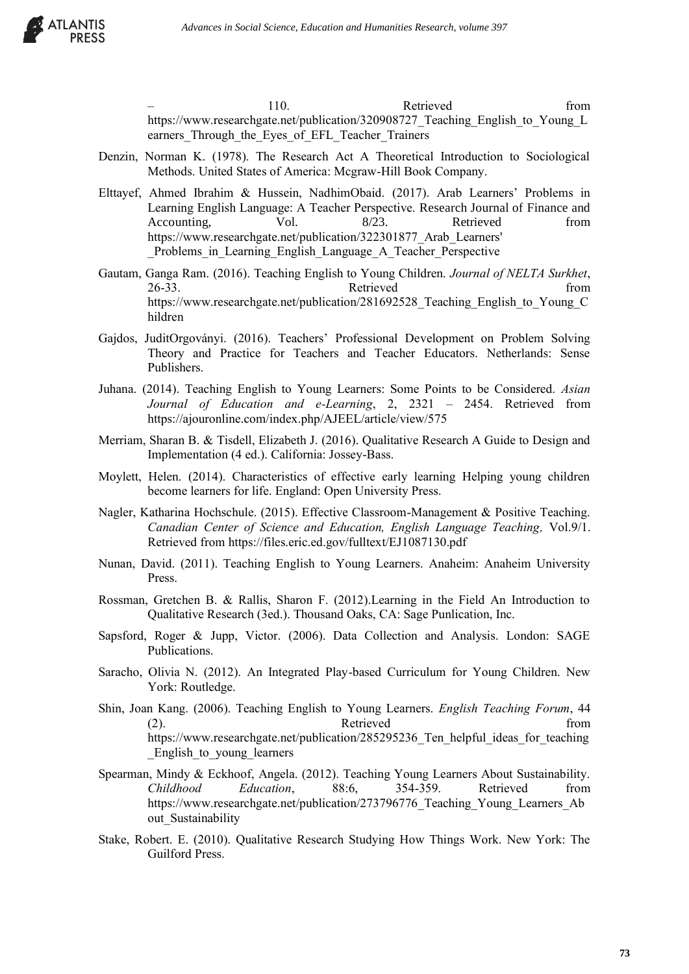

110. Retrieved from https://www.researchgate.net/publication/320908727 Teaching English to Young L earners Through the Eyes of EFL Teacher Trainers

- Denzin, Norman K. (1978). The Research Act A Theoretical Introduction to Sociological Methods. United States of America: Mcgraw-Hill Book Company.
- Elttayef, Ahmed Ibrahim & Hussein, NadhimObaid. (2017). Arab Learners' Problems in Learning English Language: A Teacher Perspective. Research Journal of Finance and Accounting, Vol. 8/23. Retrieved from [https://www.researchgate.net/publication/322301877\\_Arab\\_Learners'](https://www.researchgate.net/publication/322301877_Arab_Learners)  Problems in Learning English Language A Teacher Perspective
- Gautam, Ganga Ram. (2016). Teaching English to Young Children. *Journal of NELTA Surkhet*, 26-33. Retrieved from [https://www.researchgate.net/publication/281692528\\_Teaching\\_English\\_to\\_Young\\_C](https://www.researchgate.net/publication/281692528_Teaching_English_to_Young_Children) [hildren](https://www.researchgate.net/publication/281692528_Teaching_English_to_Young_Children)
- Gajdos, JuditOrgoványi. (2016). Teachers' Professional Development on Problem Solving Theory and Practice for Teachers and Teacher Educators. Netherlands: Sense Publishers.
- Juhana. (2014). Teaching English to Young Learners: Some Points to be Considered. *Asian Journal of Education and e-Learning*, 2, 2321 – 2454. Retrieved from <https://ajouronline.com/index.php/AJEEL/article/view/575>
- Merriam, Sharan B. & Tisdell, Elizabeth J. (2016). Qualitative Research A Guide to Design and Implementation (4 ed.). California: Jossey-Bass.
- Moylett, Helen. (2014). Characteristics of effective early learning Helping young children become learners for life. England: Open University Press.
- Nagler, Katharina Hochschule. (2015). Effective Classroom-Management & Positive Teaching. *Canadian Center of Science and Education, English Language Teaching,* Vol.9/1. Retrieved from<https://files.eric.ed.gov/fulltext/EJ1087130.pdf>
- Nunan, David. (2011). Teaching English to Young Learners. Anaheim: Anaheim University Press.
- Rossman, Gretchen B. & Rallis, Sharon F. (2012).Learning in the Field An Introduction to Qualitative Research (3ed.). Thousand Oaks, CA: Sage Punlication, Inc.
- Sapsford, Roger & Jupp, Victor. (2006). Data Collection and Analysis. London: SAGE Publications.
- Saracho, Olivia N. (2012). An Integrated Play-based Curriculum for Young Children. New York: Routledge.
- Shin, Joan Kang. (2006). Teaching English to Young Learners. *English Teaching Forum*, 44 (2). Retrieved from https://www.researchgate.net/publication/285295236 Ten helpful ideas for teaching English to young learners
- Spearman, Mindy & Eckhoof, Angela. (2012). Teaching Young Learners About Sustainability. *Childhood Education*, 88:6, 354-359. Retrieved from https://www.researchgate.net/publication/273796776 Teaching Young Learners Ab out Sustainability
- Stake, Robert. E. (2010). Qualitative Research Studying How Things Work. New York: The Guilford Press.